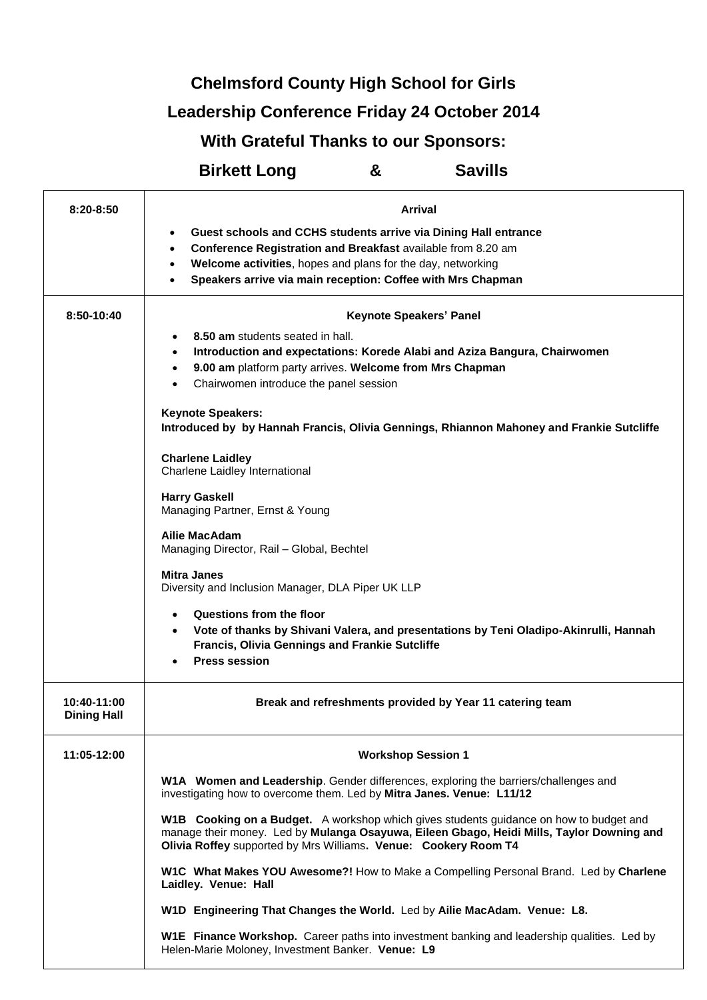**Chelmsford County High School for Girls**

## **Leadership Conference Friday 24 October 2014**

## **With Grateful Thanks to our Sponsors:**

## **Birkett Long & Savills**

| $8:20 - 8:50$                     | Arrival                                                                                                                                                                                                                                                |
|-----------------------------------|--------------------------------------------------------------------------------------------------------------------------------------------------------------------------------------------------------------------------------------------------------|
|                                   | Guest schools and CCHS students arrive via Dining Hall entrance<br>٠                                                                                                                                                                                   |
|                                   | Conference Registration and Breakfast available from 8.20 am<br>$\bullet$                                                                                                                                                                              |
|                                   | Welcome activities, hopes and plans for the day, networking<br>$\bullet$                                                                                                                                                                               |
|                                   | Speakers arrive via main reception: Coffee with Mrs Chapman                                                                                                                                                                                            |
| 8:50-10:40                        | Keynote Speakers' Panel                                                                                                                                                                                                                                |
|                                   | 8.50 am students seated in hall.<br>$\bullet$                                                                                                                                                                                                          |
|                                   | Introduction and expectations: Korede Alabi and Aziza Bangura, Chairwomen<br>$\bullet$                                                                                                                                                                 |
|                                   | 9.00 am platform party arrives. Welcome from Mrs Chapman<br>$\bullet$                                                                                                                                                                                  |
|                                   | Chairwomen introduce the panel session<br>$\bullet$                                                                                                                                                                                                    |
|                                   | <b>Keynote Speakers:</b>                                                                                                                                                                                                                               |
|                                   | Introduced by by Hannah Francis, Olivia Gennings, Rhiannon Mahoney and Frankie Sutcliffe                                                                                                                                                               |
|                                   | <b>Charlene Laidley</b><br>Charlene Laidley International                                                                                                                                                                                              |
|                                   | <b>Harry Gaskell</b>                                                                                                                                                                                                                                   |
|                                   | Managing Partner, Ernst & Young                                                                                                                                                                                                                        |
|                                   | Ailie MacAdam                                                                                                                                                                                                                                          |
|                                   | Managing Director, Rail - Global, Bechtel                                                                                                                                                                                                              |
|                                   | <b>Mitra Janes</b>                                                                                                                                                                                                                                     |
|                                   | Diversity and Inclusion Manager, DLA Piper UK LLP                                                                                                                                                                                                      |
|                                   | Questions from the floor<br>$\bullet$                                                                                                                                                                                                                  |
|                                   | Vote of thanks by Shivani Valera, and presentations by Teni Oladipo-Akinrulli, Hannah<br>$\bullet$<br><b>Francis, Olivia Gennings and Frankie Sutcliffe</b>                                                                                            |
|                                   | <b>Press session</b>                                                                                                                                                                                                                                   |
|                                   |                                                                                                                                                                                                                                                        |
| 10:40-11:00<br><b>Dining Hall</b> | Break and refreshments provided by Year 11 catering team                                                                                                                                                                                               |
| 11:05-12:00                       | <b>Workshop Session 1</b>                                                                                                                                                                                                                              |
|                                   | W1A Women and Leadership. Gender differences, exploring the barriers/challenges and<br>investigating how to overcome them. Led by Mitra Janes. Venue: L11/12                                                                                           |
|                                   | W1B Cooking on a Budget. A workshop which gives students guidance on how to budget and<br>manage their money. Led by Mulanga Osayuwa, Eileen Gbago, Heidi Mills, Taylor Downing and<br>Olivia Roffey supported by Mrs Williams. Venue: Cookery Room T4 |
|                                   | W1C What Makes YOU Awesome?! How to Make a Compelling Personal Brand. Led by Charlene<br>Laidley. Venue: Hall                                                                                                                                          |
|                                   | W1D Engineering That Changes the World. Led by Ailie MacAdam. Venue: L8.                                                                                                                                                                               |
|                                   | W1E Finance Workshop. Career paths into investment banking and leadership qualities. Led by<br>Helen-Marie Moloney, Investment Banker. Venue: L9                                                                                                       |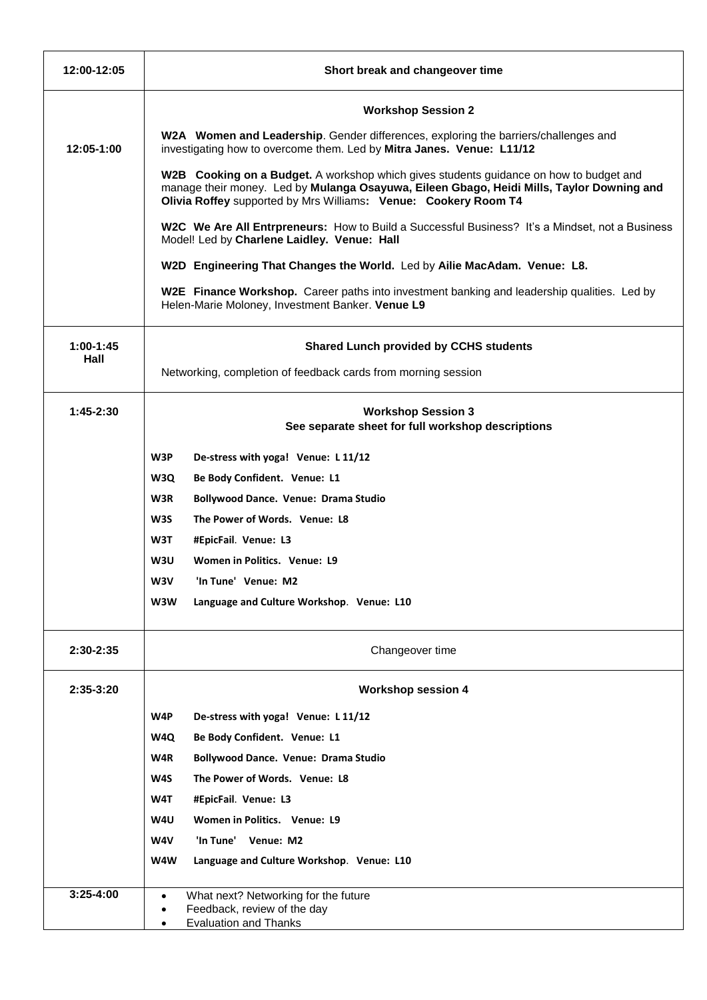| 12:00-12:05         | Short break and changeover time                                                                                                                                                                                                                        |
|---------------------|--------------------------------------------------------------------------------------------------------------------------------------------------------------------------------------------------------------------------------------------------------|
|                     | <b>Workshop Session 2</b>                                                                                                                                                                                                                              |
| 12:05-1:00          | W2A Women and Leadership. Gender differences, exploring the barriers/challenges and<br>investigating how to overcome them. Led by Mitra Janes. Venue: L11/12                                                                                           |
|                     | W2B Cooking on a Budget. A workshop which gives students guidance on how to budget and<br>manage their money. Led by Mulanga Osayuwa, Eileen Gbago, Heidi Mills, Taylor Downing and<br>Olivia Roffey supported by Mrs Williams: Venue: Cookery Room T4 |
|                     | W2C We Are All Entrpreneurs: How to Build a Successful Business? It's a Mindset, not a Business<br>Model! Led by Charlene Laidley. Venue: Hall                                                                                                         |
|                     | W2D Engineering That Changes the World. Led by Ailie MacAdam. Venue: L8.                                                                                                                                                                               |
|                     | W2E Finance Workshop. Career paths into investment banking and leadership qualities. Led by<br>Helen-Marie Moloney, Investment Banker. Venue L9                                                                                                        |
| $1:00-1:45$<br>Hall | <b>Shared Lunch provided by CCHS students</b>                                                                                                                                                                                                          |
|                     | Networking, completion of feedback cards from morning session                                                                                                                                                                                          |
| $1:45-2:30$         | <b>Workshop Session 3</b><br>See separate sheet for full workshop descriptions                                                                                                                                                                         |
|                     | W3P<br>De-stress with yoga! Venue: L11/12                                                                                                                                                                                                              |
|                     | W3Q<br>Be Body Confident. Venue: L1                                                                                                                                                                                                                    |
|                     | W3R<br><b>Bollywood Dance. Venue: Drama Studio</b>                                                                                                                                                                                                     |
|                     | W3S<br>The Power of Words. Venue: L8                                                                                                                                                                                                                   |
|                     | W3T<br>#EpicFail. Venue: L3                                                                                                                                                                                                                            |
|                     | W3U<br>Women in Politics. Venue: L9                                                                                                                                                                                                                    |
|                     | W3V<br>'In Tune' Venue: M2                                                                                                                                                                                                                             |
|                     | W3W<br>Language and Culture Workshop. Venue: L10                                                                                                                                                                                                       |
| 2:30-2:35           | Changeover time                                                                                                                                                                                                                                        |
| $2:35-3:20$         | <b>Workshop session 4</b>                                                                                                                                                                                                                              |
|                     | W4P<br>De-stress with yoga! Venue: L 11/12                                                                                                                                                                                                             |
|                     | Be Body Confident. Venue: L1<br>W4Q                                                                                                                                                                                                                    |
|                     | W4R<br><b>Bollywood Dance. Venue: Drama Studio</b>                                                                                                                                                                                                     |
|                     | The Power of Words. Venue: L8<br>W4S                                                                                                                                                                                                                   |
|                     | W4T<br>#EpicFail. Venue: L3                                                                                                                                                                                                                            |
|                     | W4U<br>Women in Politics. Venue: L9                                                                                                                                                                                                                    |
|                     | W4V<br>'In Tune' Venue: M2                                                                                                                                                                                                                             |
|                     | W4W<br>Language and Culture Workshop. Venue: L10                                                                                                                                                                                                       |
| $3:25 - 4:00$       | What next? Networking for the future<br>$\bullet$<br>Feedback, review of the day<br><b>Evaluation and Thanks</b>                                                                                                                                       |